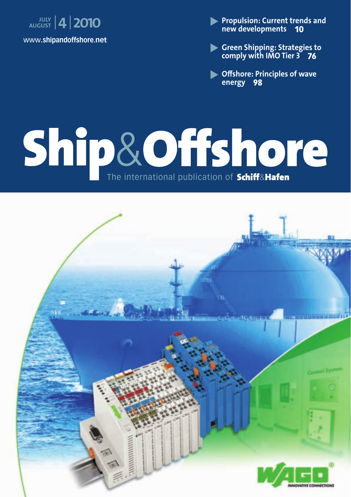

 **Propulsion: Current trends and new developments 10**

- **Green Shipping: Strategies to comply with IMO Tier 3 76**

**• Offshore: Principles of wave energy 98**

# Ship & Offshore

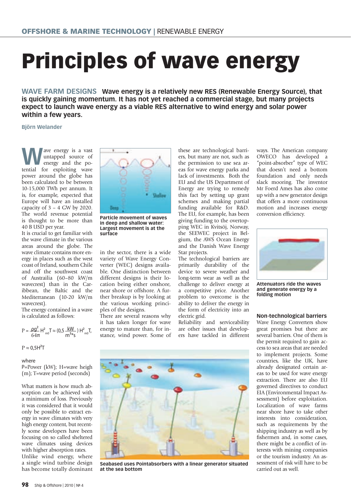## **Principles of wave energy**

**WAVE FARM DESIGNS Wave energy is a relatively new RES (Renewable Energy Source), that is quickly gaining momentum. It has not yet reached a commercial stage, but many projects expect to launch wave energy as a viable RES alternative to wind energy and solar power within a few years.**

### **Björn Welander**

**W**ave energy is a vast<br>untapped source of<br>energy and the pountapped source of energy and the potential for exploiting wave power around the globe has been calculated to be between 10-15,000 TWh per annum. It is, for example, expected that Europe will have an installed capacity of  $3 - 4$  GW by 2020. The world revenue potential is thought to be more than 40 B USD per year.

It is crucial to get familiar with the wave climate in the various areas around the globe. The wave climate contains more energy in places such as the west coast of Ireland, southern Chile and off the southwest coast of Austrailia (60–80 kW/m wavecrest) than in the Caribbean, the Baltic and the Mediterranean (10-20 kW/m wavecrest).

The energy contained in a wave is calculated as follows:

$$
P = \frac{\rho g^2}{64\pi} H_{m0}^2 T \approx (0.5 \frac{kW}{m^{3*} s}) H_{m0}^2 T
$$

 $P \approx 0.5H^2T$ 

### where

P=Power (kW); H=wave heigh (m); T=wave period (seconds)

What matters is how much absorption can be achieved with a minimum of loss. Previously it was considered that it would only be possible to extract energy in wave climates with very high energy content, but recently some developers have been focusing on so called sheltered wave climates using devices with higher absorption rates. Unlike wind energy, where a single wind turbine design has become totally dominant



**Particle movement of waves in deep and shallow water: Largest movement is at the surface**

in the sector, there is a wide variety of Wave Energy Converter (WEC) designs available. One distinction between different designs is their location being either onshore, near shore or offshore. A further breakup is by looking at the various working principles of the designs.

There are several reasons why it has taken longer for wave energy to mature than, for instance, wind power. Some of these are technological barriers, but many are not, such as the permission to use sea areas for wave energy parks and lack of investments. Both the EU and the US Department of Energy are trying to remedy this fact by setting up grant schemes and making partial funding available for R&D. The EU, for example, has been giving funding to the overtopping WEC in Kvitsöj, Norway, the SEEWEC project in Belgium, the AWS Ocean Energy and the Danish Wave Energy Star projects.

The technological barriers are primarily durability of the device to severe weather and long-term wear as well as the challenge to deliver energy at a competitive price. Another problem to overcome is the ability to deliver the energy in the form of electricity into an electric grid.

Reliability and serviceability are other issues that developers have tackled in different



**Seabased uses Pointabsorbers with a linear generator situated at the sea bottom**

ways. The American company OWECO has developed a "point-absorber" type of WEC that doesn't need a bottom foundation and only needs slack mooring. The inventor Mr Foerd Ames has also come up with a new generator design that offers a more continuous motion and increases energy conversion efficiency.



**Attenuators ride the waves and generate energy by a folding motion**

### **Non-technological barriers**

Wave Energy Converters show great promises but there are several barriers. One of them is the permit required to gain access to sea areas that are needed to implement projects. Some countries, like the UK, have already designated certain areas to be used for wave energy extraction. There are also EU governed directives to conduct EIA (Environmental Impact Assessment) before exploitation. Localization of wave farms near shore have to take other interests into consideration, such as requirements by the shipping industry as well as by fishermen and, in some cases, there might be a conflict of interests with mining companies or the tourism industry. An assessment of risk will have to be carried out as well.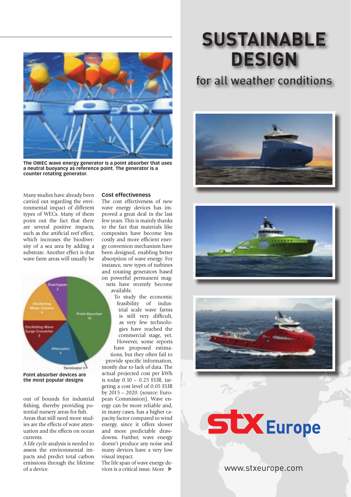

**The OWEC wave energy generator is a point absorber that uses a neutral buoyancy as reference point. The generator is a counter rotating generator.**

Many studies have already been carried out regarding the environmental impact of different types of WECs. Many of them point out the fact that there are several positive impacts, such as the artificial reef effect, which increases the biodiversity of a sea area by adding a substrate. Another effect is that wave farm areas will usually be



**the most popular designs**

out of bounds for industrial fishing, thereby providing potential nursery areas for fish. Areas that still need more studies are the effects of wave attenuation and the effects on ocean currents.

A life cycle analysis is needed to assess the environmental impacts and predict total carbon emissions through the lifetime of a device.

### **Cost effectiveness**

The cost effectiveness of new wave energy devices has improved a great deal in the last few years. This is mainly thanks to the fact that materials like composites have become less costly and more efficient energy conversion mechanism have been designed, enabling better absorption of wave energy. For instance, new types of turbines and rotating generators based on powerful permanent magnets have recently become

available. To study the economic

feasibility of industrial scale wave farms is still very difficult, as very few technologies have reached the commercial stage, yet. However, some reports have proposed estimations, but they often fail to provide specific information. mostly due to lack of data. The actual projected cost per kWh is today 0.10 – 0.25 EUR, targeting a cost level of 0.05 EUR by 2015 – 2020. (source: European Commission). Wave energy can be more reliable and, in many cases, has a higher capacity factor compared to wind energy, since it offers slower and more predictable drawdowns. Further, wave energy doesn't produce any noise and many devices have a very low visual impact.

The life span of wave energy devices is a critical issue. More

### **SUSTAINABLE DESIGN**

### for all weather conditions









www.stxeurope.com